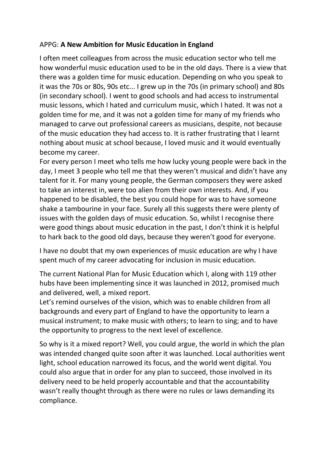## APPG: **A New Ambition for Music Education in England**

I often meet colleagues from across the music education sector who tell me how wonderful music education used to be in the old days. There is a view that there was a golden time for music education. Depending on who you speak to it was the 70s or 80s, 90s etc... I grew up in the 70s (in primary school) and 80s (in secondary school). I went to good schools and had access to instrumental music lessons, which I hated and curriculum music, which I hated. It was not a golden time for me, and it was not a golden time for many of my friends who managed to carve out professional careers as musicians, despite, not because of the music education they had access to. It is rather frustrating that I learnt nothing about music at school because, I loved music and it would eventually become my career.

For every person I meet who tells me how lucky young people were back in the day, I meet 3 people who tell me that they weren't musical and didn't have any talent for it. For many young people, the German composers they were asked to take an interest in, were too alien from their own interests. And, if you happened to be disabled, the best you could hope for was to have someone shake a tambourine in your face. Surely all this suggests there were plenty of issues with the golden days of music education. So, whilst I recognise there were good things about music education in the past, I don't think it is helpful to hark back to the good old days, because they weren't good for everyone.

I have no doubt that my own experiences of music education are why I have spent much of my career advocating for inclusion in music education.

The current National Plan for Music Education which I, along with 119 other hubs have been implementing since it was launched in 2012, promised much and delivered, well, a mixed report.

Let's remind ourselves of the vision, which was to enable children from all backgrounds and every part of England to have the opportunity to learn a musical instrument; to make music with others; to learn to sing; and to have the opportunity to progress to the next level of excellence.

So why is it a mixed report? Well, you could argue, the world in which the plan was intended changed quite soon after it was launched. Local authorities went light, school education narrowed its focus, and the world went digital. You could also argue that in order for any plan to succeed, those involved in its delivery need to be held properly accountable and that the accountability wasn't really thought through as there were no rules or laws demanding its compliance.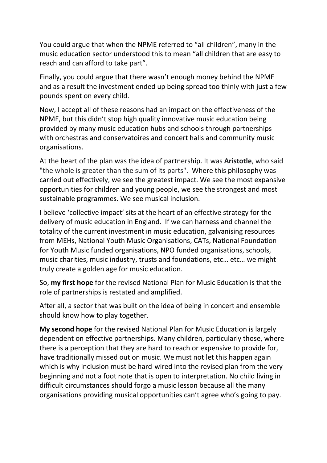You could argue that when the NPME referred to "all children", many in the music education sector understood this to mean "all children that are easy to reach and can afford to take part".

Finally, you could argue that there wasn't enough money behind the NPME and as a result the investment ended up being spread too thinly with just a few pounds spent on every child.

Now, I accept all of these reasons had an impact on the effectiveness of the NPME, but this didn't stop high quality innovative music education being provided by many music education hubs and schools through partnerships with orchestras and conservatoires and concert halls and community music organisations.

At the heart of the plan was the idea of partnership. It was **Aristotle**, who said "the whole is greater than the sum of its parts". Where this philosophy was carried out effectively, we see the greatest impact. We see the most expansive opportunities for children and young people, we see the strongest and most sustainable programmes. We see musical inclusion.

I believe 'collective impact' sits at the heart of an effective strategy for the delivery of music education in England. If we can harness and channel the totality of the current investment in music education, galvanising resources from MEHs, National Youth Music Organisations, CATs, National Foundation for Youth Music funded organisations, NPO funded organisations, schools, music charities, music industry, trusts and foundations, etc… etc… we might truly create a golden age for music education.

So, **my first hope** for the revised National Plan for Music Education is that the role of partnerships is restated and amplified.

After all, a sector that was built on the idea of being in concert and ensemble should know how to play together.

**My second hope** for the revised National Plan for Music Education is largely dependent on effective partnerships. Many children, particularly those, where there is a perception that they are hard to reach or expensive to provide for, have traditionally missed out on music. We must not let this happen again which is why inclusion must be hard-wired into the revised plan from the very beginning and not a foot note that is open to interpretation. No child living in difficult circumstances should forgo a music lesson because all the many organisations providing musical opportunities can't agree who's going to pay.